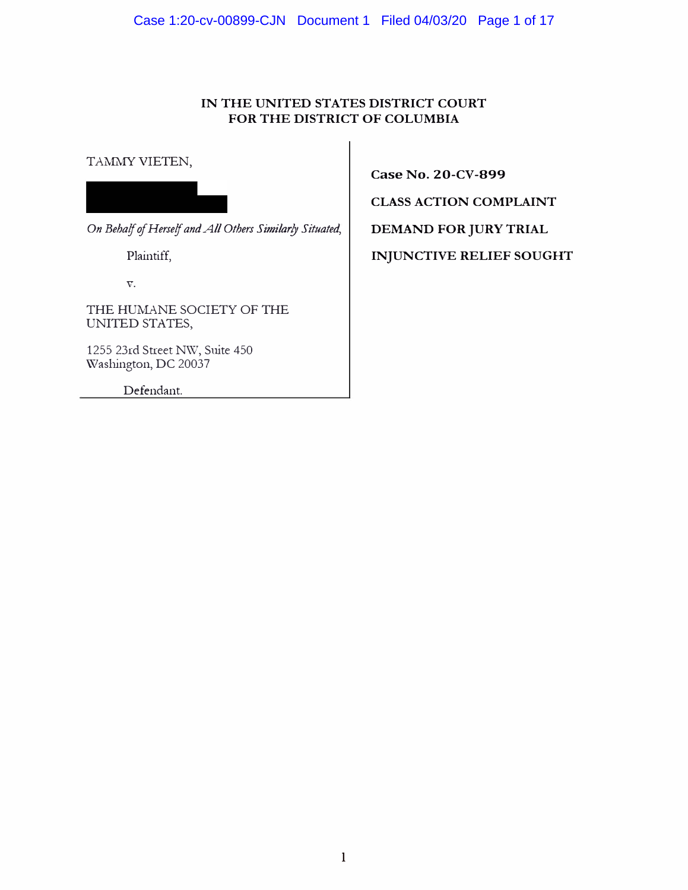Case 1:20-cv-00899-CJN Document 1 Filed 04/03/20 Page 1 of 17

## **IN THE UNITED STATES DISTRICT COURT FOR THE DISTRICT OF COLUMBIA**

TAMMY VIETEN,

On Behalf of Herself and All Others Similarly Situated,

Plaintiff,

**V.** 

THE HUMANE SOCIETY OF THE UNITED STATES,

1255 23rd Street NW, Suite 450 \Vashington, DC 20037

Defendant.

**Case No. 20-CV-899**

**CLASS ACTION COMPLAINT** 

**DEMAND FOR JURY TRIAL** 

**INJUNCTIVE RELIEF SOUGHT**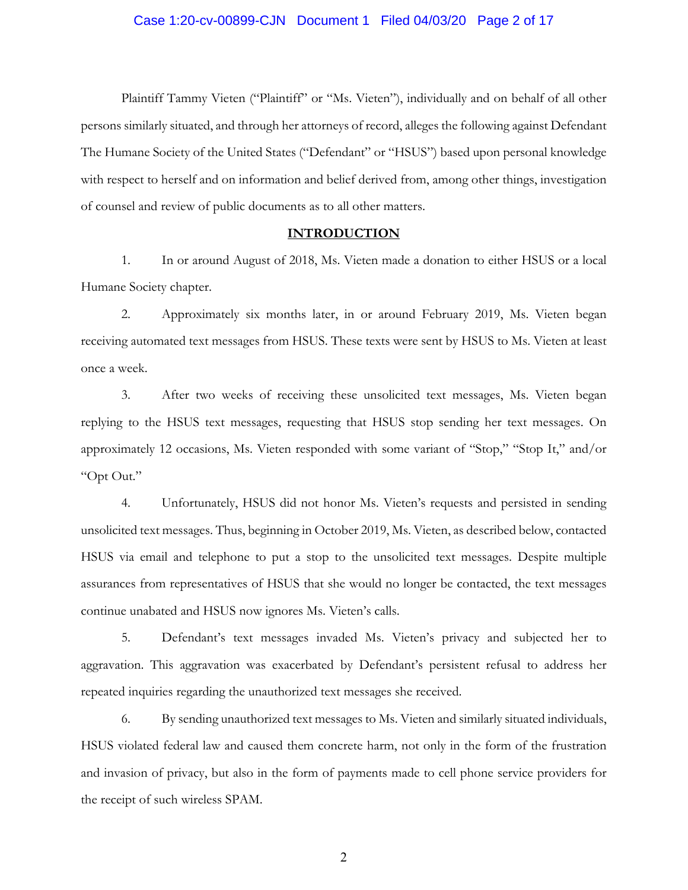Plaintiff Tammy Vieten ("Plaintiff" or "Ms. Vieten"), individually and on behalf of all other persons similarly situated, and through her attorneys of record, alleges the following against Defendant The Humane Society of the United States ("Defendant" or "HSUS") based upon personal knowledge with respect to herself and on information and belief derived from, among other things, investigation of counsel and review of public documents as to all other matters.

#### **INTRODUCTION**

1. In or around August of 2018, Ms. Vieten made a donation to either HSUS or a local Humane Society chapter.

2. Approximately six months later, in or around February 2019, Ms. Vieten began receiving automated text messages from HSUS. These texts were sent by HSUS to Ms. Vieten at least once a week.

3. After two weeks of receiving these unsolicited text messages, Ms. Vieten began replying to the HSUS text messages, requesting that HSUS stop sending her text messages. On approximately 12 occasions, Ms. Vieten responded with some variant of "Stop," "Stop It," and/or "Opt Out."

4. Unfortunately, HSUS did not honor Ms. Vieten's requests and persisted in sending unsolicited text messages. Thus, beginning in October 2019, Ms. Vieten, as described below, contacted HSUS via email and telephone to put a stop to the unsolicited text messages. Despite multiple assurances from representatives of HSUS that she would no longer be contacted, the text messages continue unabated and HSUS now ignores Ms. Vieten's calls.

5. Defendant's text messages invaded Ms. Vieten's privacy and subjected her to aggravation. This aggravation was exacerbated by Defendant's persistent refusal to address her repeated inquiries regarding the unauthorized text messages she received.

6. By sending unauthorized text messages to Ms. Vieten and similarly situated individuals, HSUS violated federal law and caused them concrete harm, not only in the form of the frustration and invasion of privacy, but also in the form of payments made to cell phone service providers for the receipt of such wireless SPAM.

2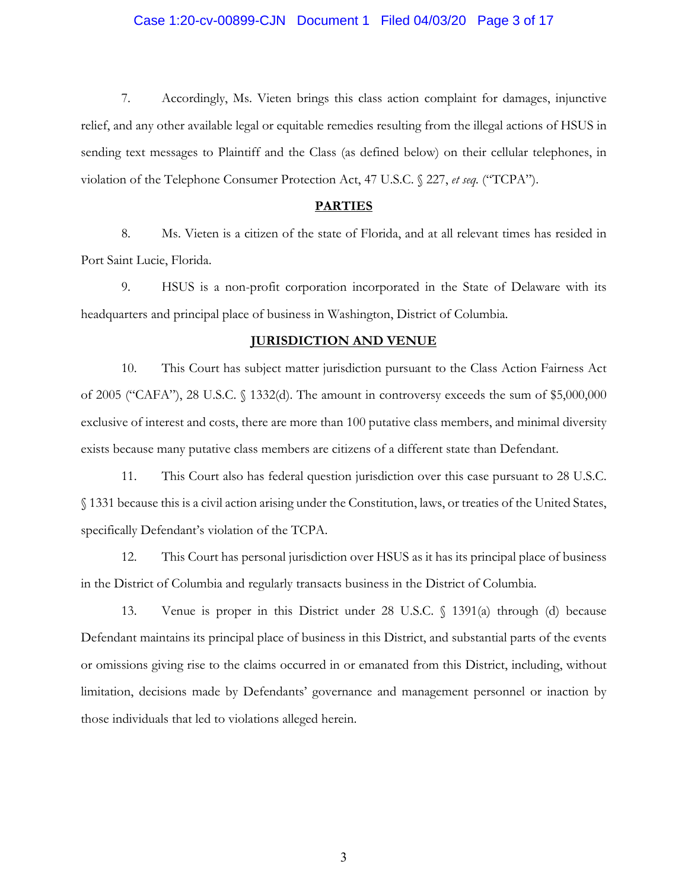## Case 1:20-cv-00899-CJN Document 1 Filed 04/03/20 Page 3 of 17

7. Accordingly, Ms. Vieten brings this class action complaint for damages, injunctive relief, and any other available legal or equitable remedies resulting from the illegal actions of HSUS in sending text messages to Plaintiff and the Class (as defined below) on their cellular telephones, in violation of the Telephone Consumer Protection Act, 47 U.S.C. § 227, *et seq.* ("TCPA").

#### **PARTIES**

8. Ms. Vieten is a citizen of the state of Florida, and at all relevant times has resided in Port Saint Lucie, Florida.

9. HSUS is a non-profit corporation incorporated in the State of Delaware with its headquarters and principal place of business in Washington, District of Columbia.

#### **JURISDICTION AND VENUE**

10. This Court has subject matter jurisdiction pursuant to the Class Action Fairness Act of 2005 ("CAFA"), 28 U.S.C. § 1332(d). The amount in controversy exceeds the sum of \$5,000,000 exclusive of interest and costs, there are more than 100 putative class members, and minimal diversity exists because many putative class members are citizens of a different state than Defendant.

11. This Court also has federal question jurisdiction over this case pursuant to 28 U.S.C. § 1331 because this is a civil action arising under the Constitution, laws, or treaties of the United States, specifically Defendant's violation of the TCPA.

12. This Court has personal jurisdiction over HSUS as it has its principal place of business in the District of Columbia and regularly transacts business in the District of Columbia.

13. Venue is proper in this District under 28 U.S.C. § 1391(a) through (d) because Defendant maintains its principal place of business in this District, and substantial parts of the events or omissions giving rise to the claims occurred in or emanated from this District, including, without limitation, decisions made by Defendants' governance and management personnel or inaction by those individuals that led to violations alleged herein.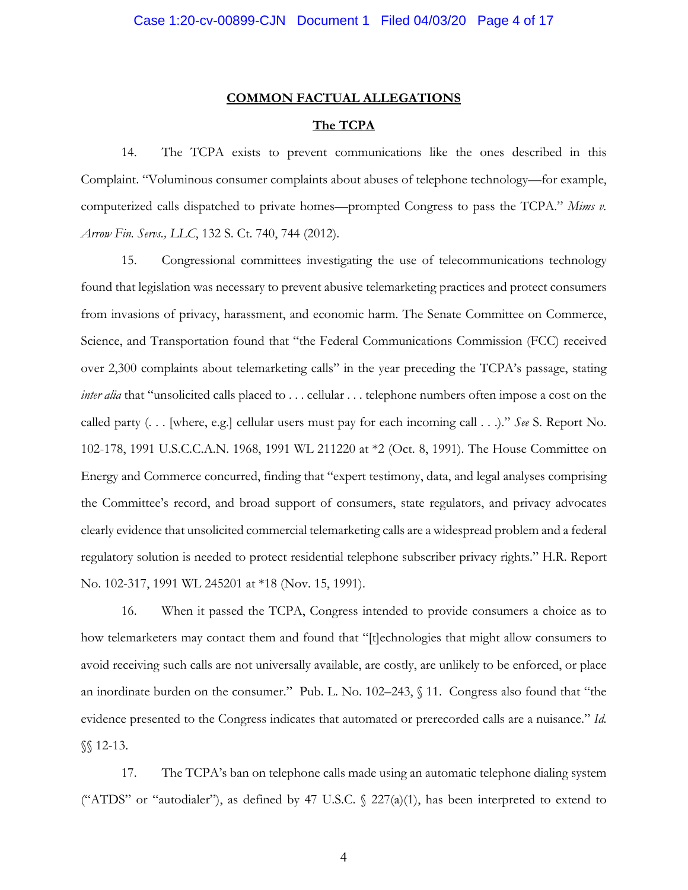# **COMMON FACTUAL ALLEGATIONS**

## **The TCPA**

14. The TCPA exists to prevent communications like the ones described in this Complaint. "Voluminous consumer complaints about abuses of telephone technology—for example, computerized calls dispatched to private homes—prompted Congress to pass the TCPA." *Mims v. Arrow Fin. Servs., LLC*, 132 S. Ct. 740, 744 (2012).

15. Congressional committees investigating the use of telecommunications technology found that legislation was necessary to prevent abusive telemarketing practices and protect consumers from invasions of privacy, harassment, and economic harm. The Senate Committee on Commerce, Science, and Transportation found that "the Federal Communications Commission (FCC) received over 2,300 complaints about telemarketing calls" in the year preceding the TCPA's passage, stating *inter alia* that "unsolicited calls placed to . . . cellular . . . telephone numbers often impose a cost on the called party (. . . [where, e.g.] cellular users must pay for each incoming call . . .)." *See* S. Report No. 102-178, 1991 U.S.C.C.A.N. 1968, 1991 WL 211220 at \*2 (Oct. 8, 1991). The House Committee on Energy and Commerce concurred, finding that "expert testimony, data, and legal analyses comprising the Committee's record, and broad support of consumers, state regulators, and privacy advocates clearly evidence that unsolicited commercial telemarketing calls are a widespread problem and a federal regulatory solution is needed to protect residential telephone subscriber privacy rights." H.R. Report No. 102-317, 1991 WL 245201 at \*18 (Nov. 15, 1991).

16. When it passed the TCPA, Congress intended to provide consumers a choice as to how telemarketers may contact them and found that "[t]echnologies that might allow consumers to avoid receiving such calls are not universally available, are costly, are unlikely to be enforced, or place an inordinate burden on the consumer." Pub. L. No. 102–243, § 11. Congress also found that "the evidence presented to the Congress indicates that automated or prerecorded calls are a nuisance." *Id.*  §§ 12-13.

17. The TCPA's ban on telephone calls made using an automatic telephone dialing system ("ATDS" or "autodialer"), as defined by 47 U.S.C.  $\frac{227(a)(1)}{1}$ , has been interpreted to extend to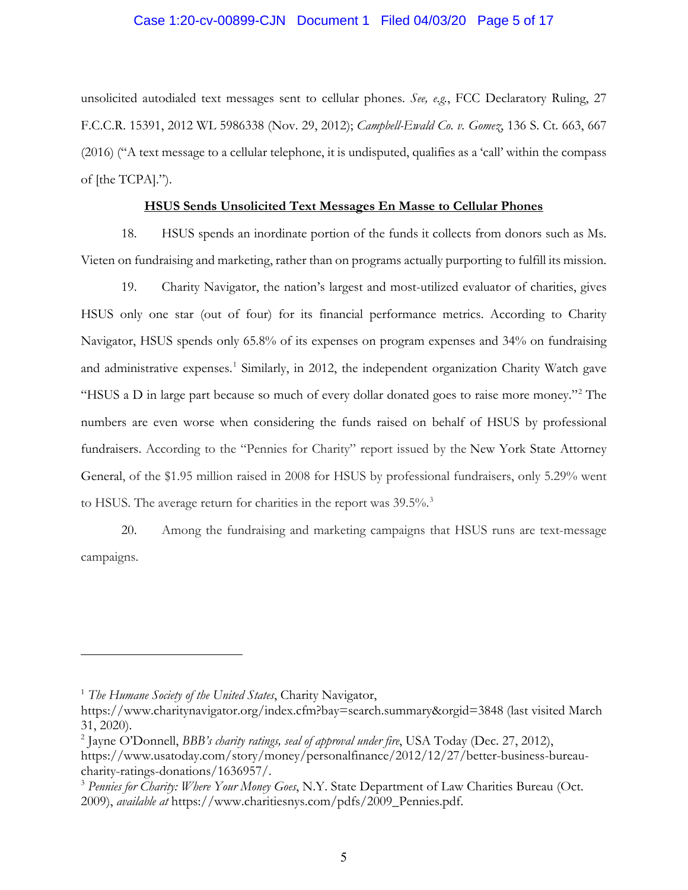## Case 1:20-cv-00899-CJN Document 1 Filed 04/03/20 Page 5 of 17

unsolicited autodialed text messages sent to cellular phones. *See, e.g.*, FCC Declaratory Ruling, 27 F.C.C.R. 15391, 2012 WL 5986338 (Nov. 29, 2012); *Campbell-Ewald Co. v. Gomez*, 136 S. Ct. 663, 667 (2016) ("A text message to a cellular telephone, it is undisputed, qualifies as a 'call' within the compass of [the TCPA].").

## **HSUS Sends Unsolicited Text Messages En Masse to Cellular Phones**

18. HSUS spends an inordinate portion of the funds it collects from donors such as Ms. Vieten on fundraising and marketing, rather than on programs actually purporting to fulfill its mission.

19. Charity Navigator, the nation's largest and most-utilized evaluator of charities, gives HSUS only one star (out of four) for its financial performance metrics. According to Charity Navigator, HSUS spends only 65.8% of its expenses on program expenses and 34% on fundraising and administrative expenses.<sup>1</sup> Similarly, in 2012, the independent organization Charity Watch gave "HSUS a D in large part because so much of every dollar donated goes to raise more money."2 The numbers are even worse when considering the funds raised on behalf of HSUS by professional fundraisers. According to the "Pennies for Charity" report issued by the New York State Attorney General, of the \$1.95 million raised in 2008 for HSUS by professional fundraisers, only 5.29% went to HSUS. The average return for charities in the report was  $39.5\%$ <sup>3</sup>

20. Among the fundraising and marketing campaigns that HSUS runs are text-message campaigns.

<sup>1</sup> *The Humane Society of the United States*, Charity Navigator,

https://www.charitynavigator.org/index.cfm?bay=search.summary&orgid=3848 (last visited March 31, 2020).

<sup>2</sup> Jayne O'Donnell, *BBB's charity ratings, seal of approval under fire*, USA Today (Dec. 27, 2012), https://www.usatoday.com/story/money/personalfinance/2012/12/27/better-business-bureaucharity-ratings-donations/1636957/.

<sup>3</sup> *Pennies for Charity: Where Your Money Goes*, N.Y. State Department of Law Charities Bureau (Oct. 2009), *available at* https://www.charitiesnys.com/pdfs/2009\_Pennies.pdf.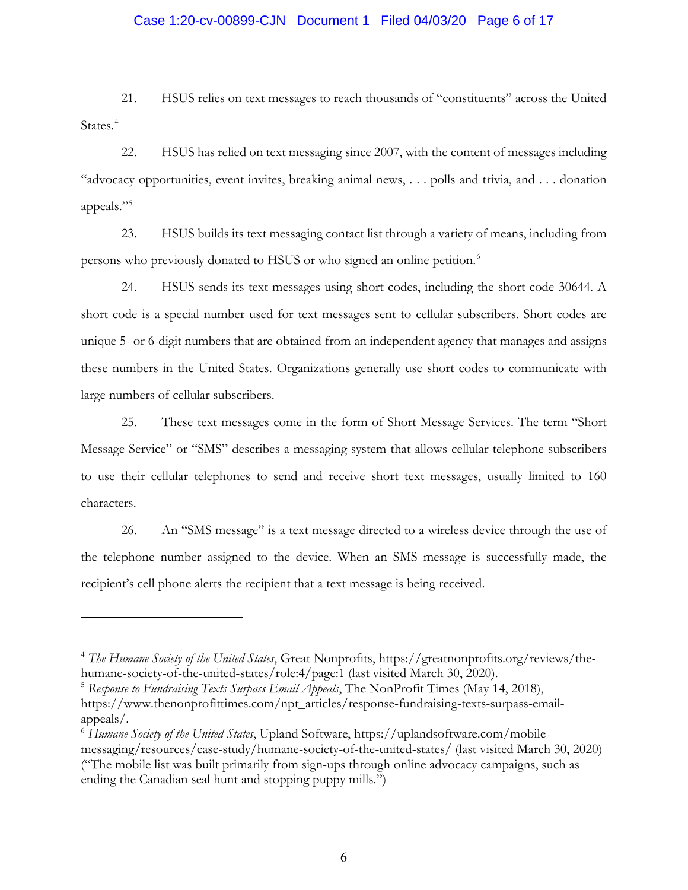## Case 1:20-cv-00899-CJN Document 1 Filed 04/03/20 Page 6 of 17

21. HSUS relies on text messages to reach thousands of "constituents" across the United States.<sup>4</sup>

22. HSUS has relied on text messaging since 2007, with the content of messages including "advocacy opportunities, event invites, breaking animal news, . . . polls and trivia, and . . . donation appeals."5

23. HSUS builds its text messaging contact list through a variety of means, including from persons who previously donated to HSUS or who signed an online petition.6

24. HSUS sends its text messages using short codes, including the short code 30644. A short code is a special number used for text messages sent to cellular subscribers. Short codes are unique 5- or 6-digit numbers that are obtained from an independent agency that manages and assigns these numbers in the United States. Organizations generally use short codes to communicate with large numbers of cellular subscribers.

25. These text messages come in the form of Short Message Services. The term "Short Message Service" or "SMS" describes a messaging system that allows cellular telephone subscribers to use their cellular telephones to send and receive short text messages, usually limited to 160 characters.

26. An "SMS message" is a text message directed to a wireless device through the use of the telephone number assigned to the device. When an SMS message is successfully made, the recipient's cell phone alerts the recipient that a text message is being received.

<sup>5</sup> *Response to Fundraising Texts Surpass Email Appeals*, The NonProfit Times (May 14, 2018), https://www.thenonprofittimes.com/npt\_articles/response-fundraising-texts-surpass-emailappeals/.

<sup>4</sup> *The Humane Society of the United States*, Great Nonprofits, https://greatnonprofits.org/reviews/thehumane-society-of-the-united-states/role:4/page:1 (last visited March 30, 2020).

<sup>6</sup> *Humane Society of the United States*, Upland Software, https://uplandsoftware.com/mobilemessaging/resources/case-study/humane-society-of-the-united-states/ (last visited March 30, 2020) ("The mobile list was built primarily from sign-ups through online advocacy campaigns, such as ending the Canadian seal hunt and stopping puppy mills.")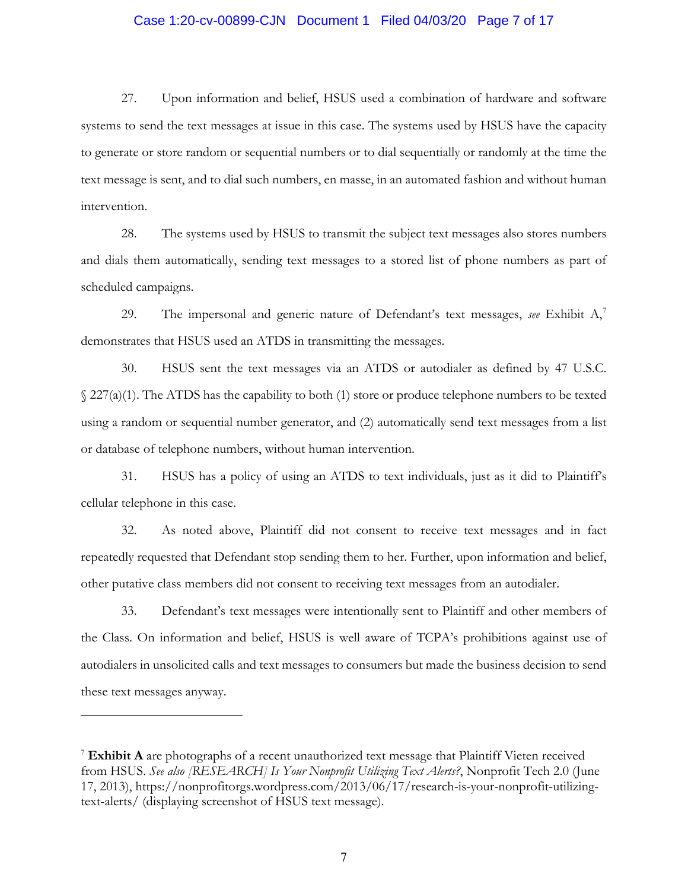## Case 1:20-cv-00899-CJN Document 1 Filed 04/03/20 Page 7 of 17

27. Upon information and belief, HSUS used a combination of hardware and software systems to send the text messages at issue in this case. The systems used by HSUS have the capacity to generate or store random or sequential numbers or to dial sequentially or randomly at the time the text message is sent, and to dial such numbers, en masse, in an automated fashion and without human intervention.

28. The systems used by HSUS to transmit the subject text messages also stores numbers and dials them automatically, sending text messages to a stored list of phone numbers as part of scheduled campaigns.

29. The impersonal and generic nature of Defendant's text messages, *see* Exhibit A, 7 demonstrates that HSUS used an ATDS in transmitting the messages.

30. HSUS sent the text messages via an ATDS or autodialer as defined by 47 U.S.C. § 227(a)(1). The ATDS has the capability to both (1) store or produce telephone numbers to be texted using a random or sequential number generator, and (2) automatically send text messages from a list or database of telephone numbers, without human intervention.

31. HSUS has a policy of using an ATDS to text individuals, just as it did to Plaintiff's cellular telephone in this case.

32. As noted above, Plaintiff did not consent to receive text messages and in fact repeatedly requested that Defendant stop sending them to her. Further, upon information and belief, other putative class members did not consent to receiving text messages from an autodialer.

33. Defendant's text messages were intentionally sent to Plaintiff and other members of the Class. On information and belief, HSUS is well aware of TCPA's prohibitions against use of autodialers in unsolicited calls and text messages to consumers but made the business decision to send these text messages anyway.

<sup>7</sup> **Exhibit A** are photographs of a recent unauthorized text message that Plaintiff Vieten received from HSUS. *See also [RESEARCH] Is Your Nonprofit Utilizing Text Alerts?*, Nonprofit Tech 2.0 (June 17, 2013), https://nonprofitorgs.wordpress.com/2013/06/17/research-is-your-nonprofit-utilizingtext-alerts/ (displaying screenshot of HSUS text message).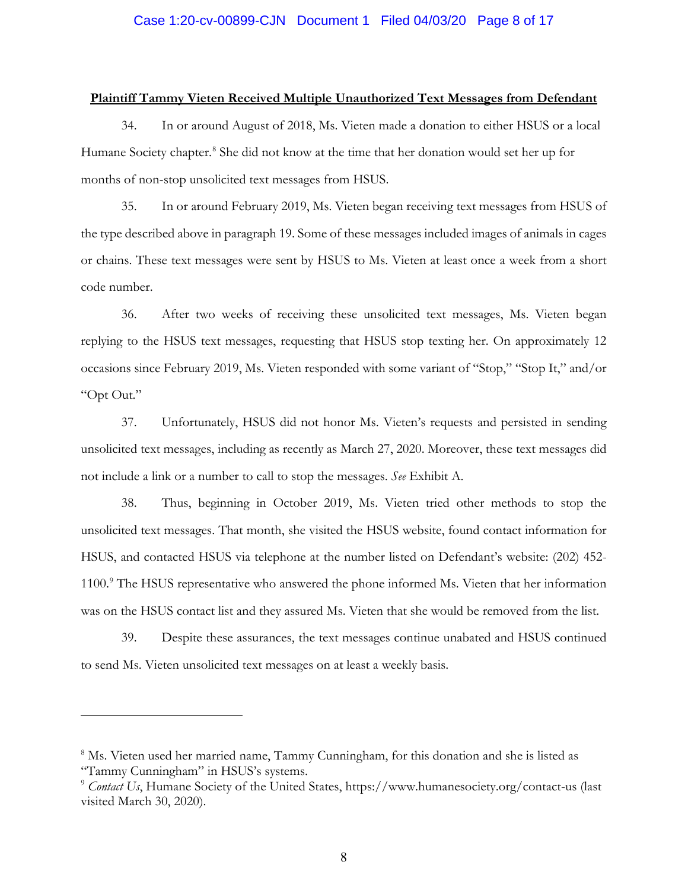## **Plaintiff Tammy Vieten Received Multiple Unauthorized Text Messages from Defendant**

34. In or around August of 2018, Ms. Vieten made a donation to either HSUS or a local Humane Society chapter.<sup>8</sup> She did not know at the time that her donation would set her up for months of non-stop unsolicited text messages from HSUS.

35. In or around February 2019, Ms. Vieten began receiving text messages from HSUS of the type described above in paragraph 19. Some of these messages included images of animals in cages or chains. These text messages were sent by HSUS to Ms. Vieten at least once a week from a short code number.

36. After two weeks of receiving these unsolicited text messages, Ms. Vieten began replying to the HSUS text messages, requesting that HSUS stop texting her. On approximately 12 occasions since February 2019, Ms. Vieten responded with some variant of "Stop," "Stop It," and/or "Opt Out."

37. Unfortunately, HSUS did not honor Ms. Vieten's requests and persisted in sending unsolicited text messages, including as recently as March 27, 2020. Moreover, these text messages did not include a link or a number to call to stop the messages. *See* Exhibit A.

38. Thus, beginning in October 2019, Ms. Vieten tried other methods to stop the unsolicited text messages. That month, she visited the HSUS website, found contact information for HSUS, and contacted HSUS via telephone at the number listed on Defendant's website: (202) 452- 1100.9 The HSUS representative who answered the phone informed Ms. Vieten that her information was on the HSUS contact list and they assured Ms. Vieten that she would be removed from the list.

39. Despite these assurances, the text messages continue unabated and HSUS continued to send Ms. Vieten unsolicited text messages on at least a weekly basis.

<sup>8</sup> Ms. Vieten used her married name, Tammy Cunningham, for this donation and she is listed as "Tammy Cunningham" in HSUS's systems.

<sup>9</sup> *Contact Us*, Humane Society of the United States, https://www.humanesociety.org/contact-us (last visited March 30, 2020).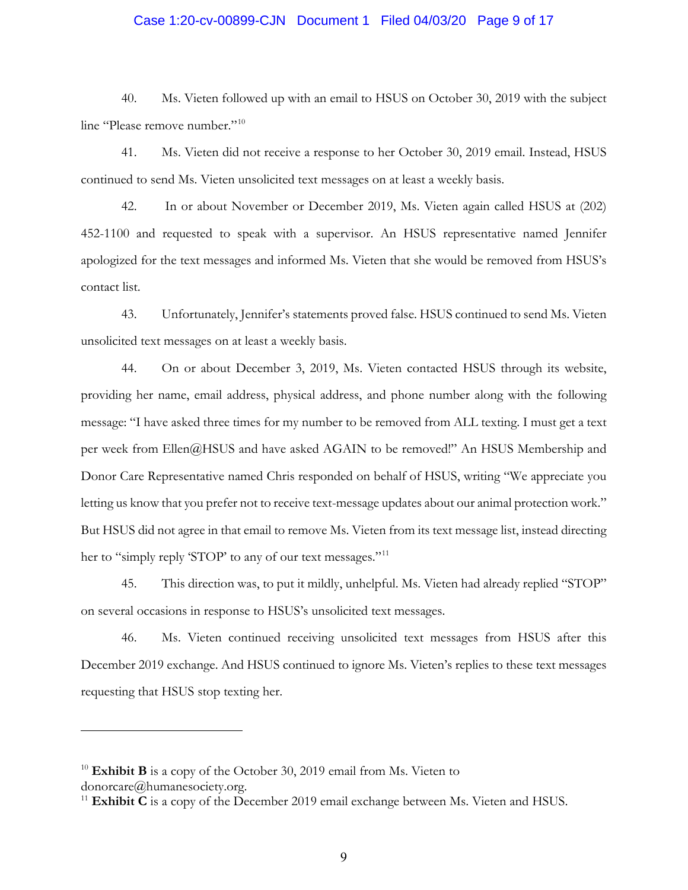## Case 1:20-cv-00899-CJN Document 1 Filed 04/03/20 Page 9 of 17

40. Ms. Vieten followed up with an email to HSUS on October 30, 2019 with the subject line "Please remove number."<sup>10</sup>

41. Ms. Vieten did not receive a response to her October 30, 2019 email. Instead, HSUS continued to send Ms. Vieten unsolicited text messages on at least a weekly basis.

42. In or about November or December 2019, Ms. Vieten again called HSUS at (202) 452-1100 and requested to speak with a supervisor. An HSUS representative named Jennifer apologized for the text messages and informed Ms. Vieten that she would be removed from HSUS's contact list.

43. Unfortunately, Jennifer's statements proved false. HSUS continued to send Ms. Vieten unsolicited text messages on at least a weekly basis.

44. On or about December 3, 2019, Ms. Vieten contacted HSUS through its website, providing her name, email address, physical address, and phone number along with the following message: "I have asked three times for my number to be removed from ALL texting. I must get a text per week from Ellen@HSUS and have asked AGAIN to be removed!" An HSUS Membership and Donor Care Representative named Chris responded on behalf of HSUS, writing "We appreciate you letting us know that you prefer not to receive text-message updates about our animal protection work." But HSUS did not agree in that email to remove Ms. Vieten from its text message list, instead directing her to "simply reply 'STOP' to any of our text messages."<sup>11</sup>

45. This direction was, to put it mildly, unhelpful. Ms. Vieten had already replied "STOP" on several occasions in response to HSUS's unsolicited text messages.

46. Ms. Vieten continued receiving unsolicited text messages from HSUS after this December 2019 exchange. And HSUS continued to ignore Ms. Vieten's replies to these text messages requesting that HSUS stop texting her.

<sup>&</sup>lt;sup>10</sup> **Exhibit B** is a copy of the October 30, 2019 email from Ms. Vieten to donorcare@humanesociety.org.

<sup>&</sup>lt;sup>11</sup> **Exhibit C** is a copy of the December 2019 email exchange between Ms. Vieten and HSUS.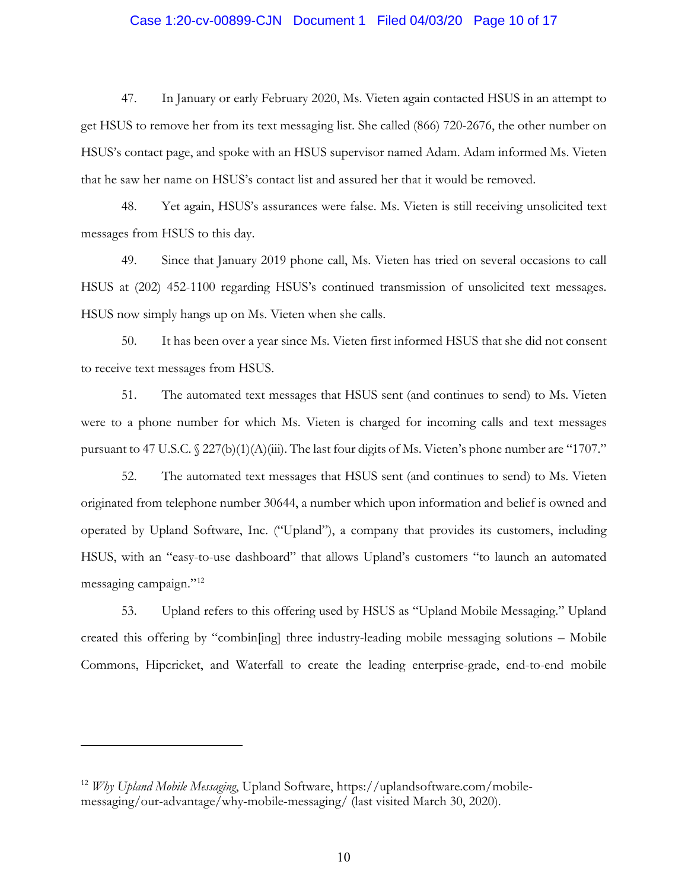## Case 1:20-cv-00899-CJN Document 1 Filed 04/03/20 Page 10 of 17

47. In January or early February 2020, Ms. Vieten again contacted HSUS in an attempt to get HSUS to remove her from its text messaging list. She called (866) 720-2676, the other number on HSUS's contact page, and spoke with an HSUS supervisor named Adam. Adam informed Ms. Vieten that he saw her name on HSUS's contact list and assured her that it would be removed.

48. Yet again, HSUS's assurances were false. Ms. Vieten is still receiving unsolicited text messages from HSUS to this day.

49. Since that January 2019 phone call, Ms. Vieten has tried on several occasions to call HSUS at (202) 452-1100 regarding HSUS's continued transmission of unsolicited text messages. HSUS now simply hangs up on Ms. Vieten when she calls.

50. It has been over a year since Ms. Vieten first informed HSUS that she did not consent to receive text messages from HSUS.

51. The automated text messages that HSUS sent (and continues to send) to Ms. Vieten were to a phone number for which Ms. Vieten is charged for incoming calls and text messages pursuant to 47 U.S.C.  $\frac{227(b)(1)(A)(iii)}{2}$ . The last four digits of Ms. Vieten's phone number are "1707."

52. The automated text messages that HSUS sent (and continues to send) to Ms. Vieten originated from telephone number 30644, a number which upon information and belief is owned and operated by Upland Software, Inc. ("Upland"), a company that provides its customers, including HSUS, with an "easy-to-use dashboard" that allows Upland's customers "to launch an automated messaging campaign."12

53. Upland refers to this offering used by HSUS as "Upland Mobile Messaging." Upland created this offering by "combin[ing] three industry-leading mobile messaging solutions – Mobile Commons, Hipcricket, and Waterfall to create the leading enterprise-grade, end-to-end mobile

<sup>12</sup> *Why Upland Mobile Messaging*, Upland Software, https://uplandsoftware.com/mobilemessaging/our-advantage/why-mobile-messaging/ (last visited March 30, 2020).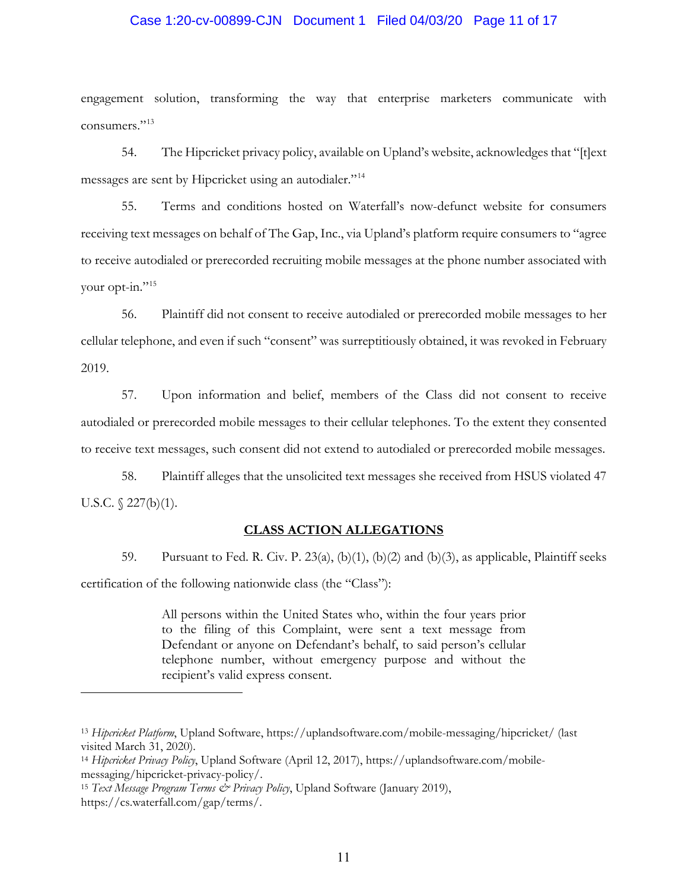#### Case 1:20-cv-00899-CJN Document 1 Filed 04/03/20 Page 11 of 17

engagement solution, transforming the way that enterprise marketers communicate with consumers."13

54. The Hipcricket privacy policy, available on Upland's website, acknowledges that "[t]ext messages are sent by Hipcricket using an autodialer."14

55. Terms and conditions hosted on Waterfall's now-defunct website for consumers receiving text messages on behalf of The Gap, Inc., via Upland's platform require consumers to "agree to receive autodialed or prerecorded recruiting mobile messages at the phone number associated with your opt-in."<sup>15</sup>

56. Plaintiff did not consent to receive autodialed or prerecorded mobile messages to her cellular telephone, and even if such "consent" was surreptitiously obtained, it was revoked in February 2019.

57. Upon information and belief, members of the Class did not consent to receive autodialed or prerecorded mobile messages to their cellular telephones. To the extent they consented to receive text messages, such consent did not extend to autodialed or prerecorded mobile messages.

58. Plaintiff alleges that the unsolicited text messages she received from HSUS violated 47 U.S.C.  $\sqrt{227(b)(1)}$ .

#### **CLASS ACTION ALLEGATIONS**

59. Pursuant to Fed. R. Civ. P. 23(a), (b)(1), (b)(2) and (b)(3), as applicable, Plaintiff seeks certification of the following nationwide class (the "Class"):

> All persons within the United States who, within the four years prior to the filing of this Complaint, were sent a text message from Defendant or anyone on Defendant's behalf, to said person's cellular telephone number, without emergency purpose and without the recipient's valid express consent.

<sup>13</sup> *Hipcricket Platform*, Upland Software, https://uplandsoftware.com/mobile-messaging/hipcricket/ (last visited March 31, 2020).

<sup>14</sup> *Hipcricket Privacy Policy*, Upland Software (April 12, 2017), https://uplandsoftware.com/mobilemessaging/hipcricket-privacy-policy/.

<sup>&</sup>lt;sup>15</sup> Text Message Program Terms & Privacy Policy, Upland Software (January 2019), https://cs.waterfall.com/gap/terms/.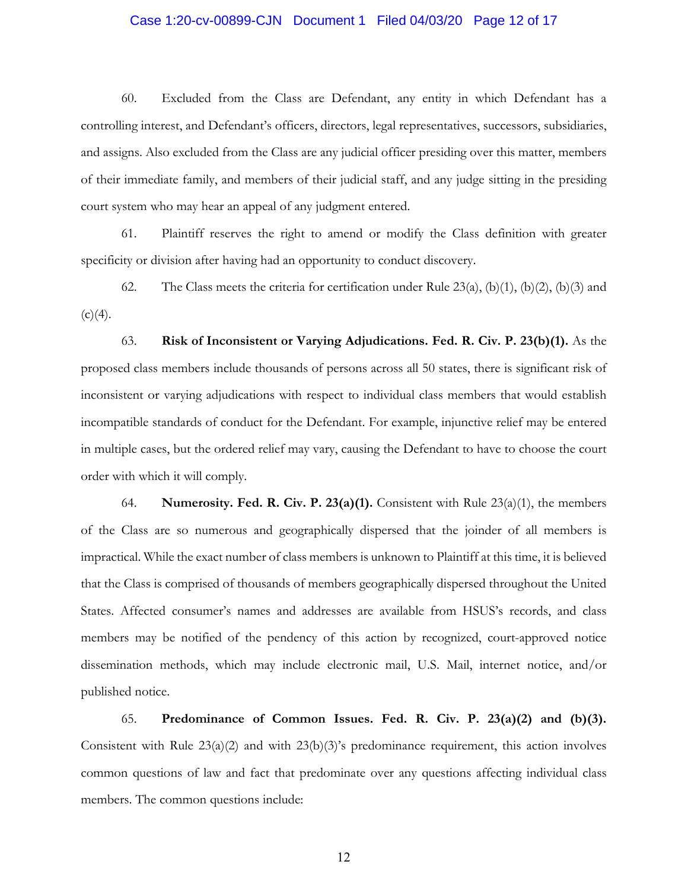## Case 1:20-cv-00899-CJN Document 1 Filed 04/03/20 Page 12 of 17

60. Excluded from the Class are Defendant, any entity in which Defendant has a controlling interest, and Defendant's officers, directors, legal representatives, successors, subsidiaries, and assigns. Also excluded from the Class are any judicial officer presiding over this matter, members of their immediate family, and members of their judicial staff, and any judge sitting in the presiding court system who may hear an appeal of any judgment entered.

61. Plaintiff reserves the right to amend or modify the Class definition with greater specificity or division after having had an opportunity to conduct discovery.

62. The Class meets the criteria for certification under Rule  $23(a)$ ,  $(b)(1)$ ,  $(b)(2)$ ,  $(b)(3)$  and  $(c)(4)$ .

63. **Risk of Inconsistent or Varying Adjudications. Fed. R. Civ. P. 23(b)(1).** As the proposed class members include thousands of persons across all 50 states, there is significant risk of inconsistent or varying adjudications with respect to individual class members that would establish incompatible standards of conduct for the Defendant. For example, injunctive relief may be entered in multiple cases, but the ordered relief may vary, causing the Defendant to have to choose the court order with which it will comply.

64. **Numerosity. Fed. R. Civ. P. 23(a)(1).** Consistent with Rule 23(a)(1), the members of the Class are so numerous and geographically dispersed that the joinder of all members is impractical. While the exact number of class members is unknown to Plaintiff at this time, it is believed that the Class is comprised of thousands of members geographically dispersed throughout the United States. Affected consumer's names and addresses are available from HSUS's records, and class members may be notified of the pendency of this action by recognized, court-approved notice dissemination methods, which may include electronic mail, U.S. Mail, internet notice, and/or published notice.

65. **Predominance of Common Issues. Fed. R. Civ. P. 23(a)(2) and (b)(3).** Consistent with Rule 23(a)(2) and with 23(b)(3)'s predominance requirement, this action involves common questions of law and fact that predominate over any questions affecting individual class members. The common questions include: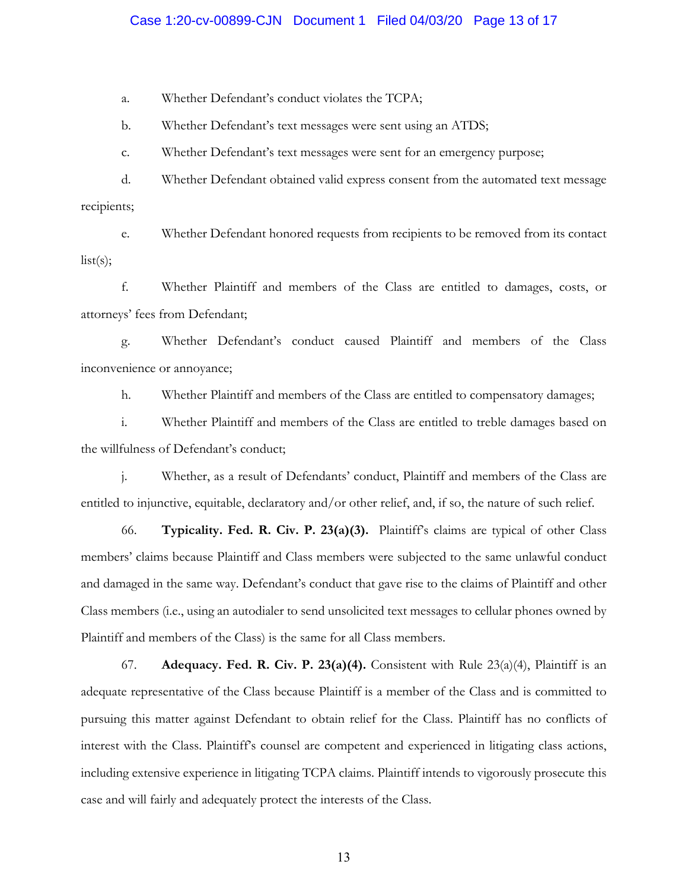## Case 1:20-cv-00899-CJN Document 1 Filed 04/03/20 Page 13 of 17

a. Whether Defendant's conduct violates the TCPA;

b. Whether Defendant's text messages were sent using an ATDS;

c. Whether Defendant's text messages were sent for an emergency purpose;

d. Whether Defendant obtained valid express consent from the automated text message recipients;

e. Whether Defendant honored requests from recipients to be removed from its contact  $list(s);$ 

f. Whether Plaintiff and members of the Class are entitled to damages, costs, or attorneys' fees from Defendant;

g. Whether Defendant's conduct caused Plaintiff and members of the Class inconvenience or annoyance;

h. Whether Plaintiff and members of the Class are entitled to compensatory damages;

i. Whether Plaintiff and members of the Class are entitled to treble damages based on the willfulness of Defendant's conduct;

j. Whether, as a result of Defendants' conduct, Plaintiff and members of the Class are entitled to injunctive, equitable, declaratory and/or other relief, and, if so, the nature of such relief.

66. **Typicality. Fed. R. Civ. P. 23(a)(3).** Plaintiff's claims are typical of other Class members' claims because Plaintiff and Class members were subjected to the same unlawful conduct and damaged in the same way. Defendant's conduct that gave rise to the claims of Plaintiff and other Class members (i.e., using an autodialer to send unsolicited text messages to cellular phones owned by Plaintiff and members of the Class) is the same for all Class members.

67. **Adequacy. Fed. R. Civ. P. 23(a)(4).** Consistent with Rule 23(a)(4), Plaintiff is an adequate representative of the Class because Plaintiff is a member of the Class and is committed to pursuing this matter against Defendant to obtain relief for the Class. Plaintiff has no conflicts of interest with the Class. Plaintiff's counsel are competent and experienced in litigating class actions, including extensive experience in litigating TCPA claims. Plaintiff intends to vigorously prosecute this case and will fairly and adequately protect the interests of the Class.

13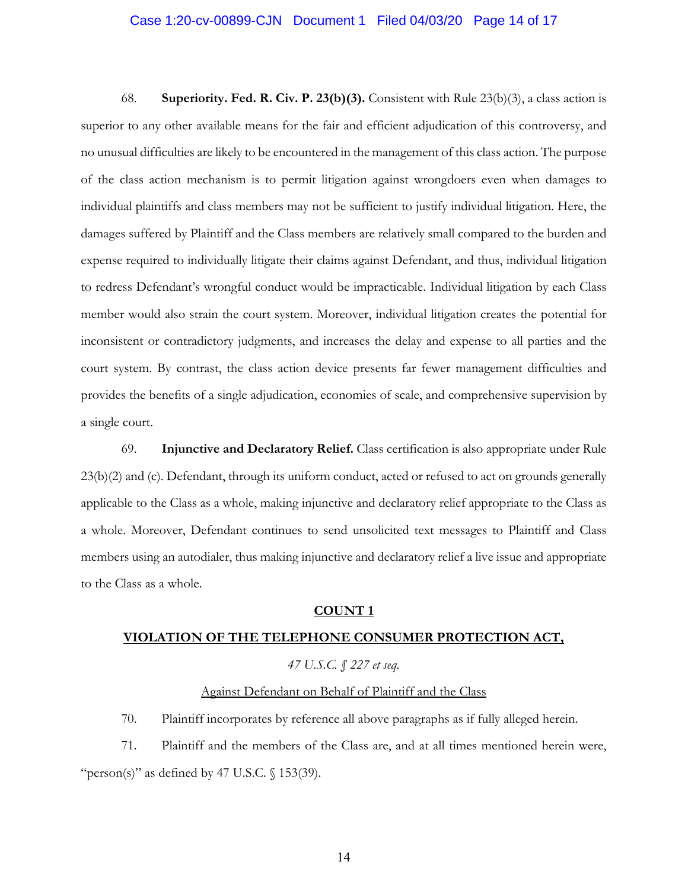#### Case 1:20-cv-00899-CJN Document 1 Filed 04/03/20 Page 14 of 17

68. **Superiority. Fed. R. Civ. P. 23(b)(3).** Consistent with Rule 23(b)(3), a class action is superior to any other available means for the fair and efficient adjudication of this controversy, and no unusual difficulties are likely to be encountered in the management of this class action. The purpose of the class action mechanism is to permit litigation against wrongdoers even when damages to individual plaintiffs and class members may not be sufficient to justify individual litigation. Here, the damages suffered by Plaintiff and the Class members are relatively small compared to the burden and expense required to individually litigate their claims against Defendant, and thus, individual litigation to redress Defendant's wrongful conduct would be impracticable. Individual litigation by each Class member would also strain the court system. Moreover, individual litigation creates the potential for inconsistent or contradictory judgments, and increases the delay and expense to all parties and the court system. By contrast, the class action device presents far fewer management difficulties and provides the benefits of a single adjudication, economies of scale, and comprehensive supervision by a single court.

69. **Injunctive and Declaratory Relief.** Class certification is also appropriate under Rule 23(b)(2) and (c). Defendant, through its uniform conduct, acted or refused to act on grounds generally applicable to the Class as a whole, making injunctive and declaratory relief appropriate to the Class as a whole. Moreover, Defendant continues to send unsolicited text messages to Plaintiff and Class members using an autodialer, thus making injunctive and declaratory relief a live issue and appropriate to the Class as a whole.

#### **COUNT 1**

#### **VIOLATION OF THE TELEPHONE CONSUMER PROTECTION ACT,**

## *47 U.S.C. § 227 et seq.*

## Against Defendant on Behalf of Plaintiff and the Class

70. Plaintiff incorporates by reference all above paragraphs as if fully alleged herein.

71. Plaintiff and the members of the Class are, and at all times mentioned herein were, "person(s)" as defined by 47 U.S.C.  $\sqrt{(}153(39))$ .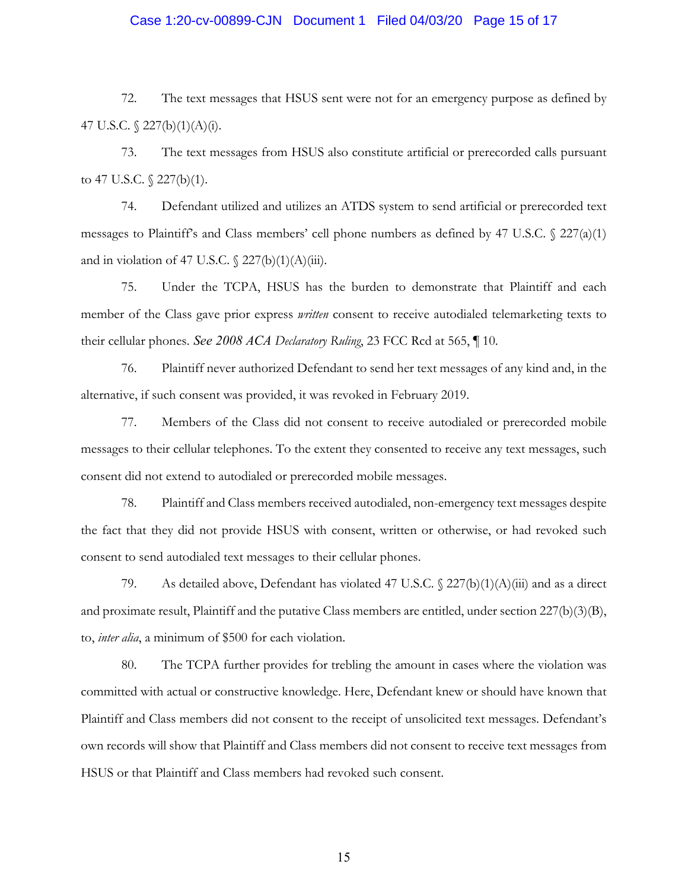## Case 1:20-cv-00899-CJN Document 1 Filed 04/03/20 Page 15 of 17

72. The text messages that HSUS sent were not for an emergency purpose as defined by 47 U.S.C.  $\sqrt{227(b)(1)(A)(i)}$ .

73. The text messages from HSUS also constitute artificial or prerecorded calls pursuant to 47 U.S.C.  $\frac{227(b)(1)}{1}$ .

74. Defendant utilized and utilizes an ATDS system to send artificial or prerecorded text messages to Plaintiff's and Class members' cell phone numbers as defined by 47 U.S.C.  $\sqrt{227(a)(1)}$ and in violation of 47 U.S.C.  $\frac{227(b)(1)(A)(iii)}{24}$ .

75. Under the TCPA, HSUS has the burden to demonstrate that Plaintiff and each member of the Class gave prior express *written* consent to receive autodialed telemarketing texts to their cellular phones. *See 2008 ACA Declaratory Ruling*, 23 FCC Rcd at 565, ¶ 10.

76. Plaintiff never authorized Defendant to send her text messages of any kind and, in the alternative, if such consent was provided, it was revoked in February 2019.

77. Members of the Class did not consent to receive autodialed or prerecorded mobile messages to their cellular telephones. To the extent they consented to receive any text messages, such consent did not extend to autodialed or prerecorded mobile messages.

78. Plaintiff and Class members received autodialed, non-emergency text messages despite the fact that they did not provide HSUS with consent, written or otherwise, or had revoked such consent to send autodialed text messages to their cellular phones.

79. As detailed above, Defendant has violated 47 U.S.C.  $\sqrt{227(b)(1)(A)(iii)}$  and as a direct and proximate result, Plaintiff and the putative Class members are entitled, under section 227(b)(3)(B), to, *inter alia*, a minimum of \$500 for each violation.

80. The TCPA further provides for trebling the amount in cases where the violation was committed with actual or constructive knowledge. Here, Defendant knew or should have known that Plaintiff and Class members did not consent to the receipt of unsolicited text messages. Defendant's own records will show that Plaintiff and Class members did not consent to receive text messages from HSUS or that Plaintiff and Class members had revoked such consent.

15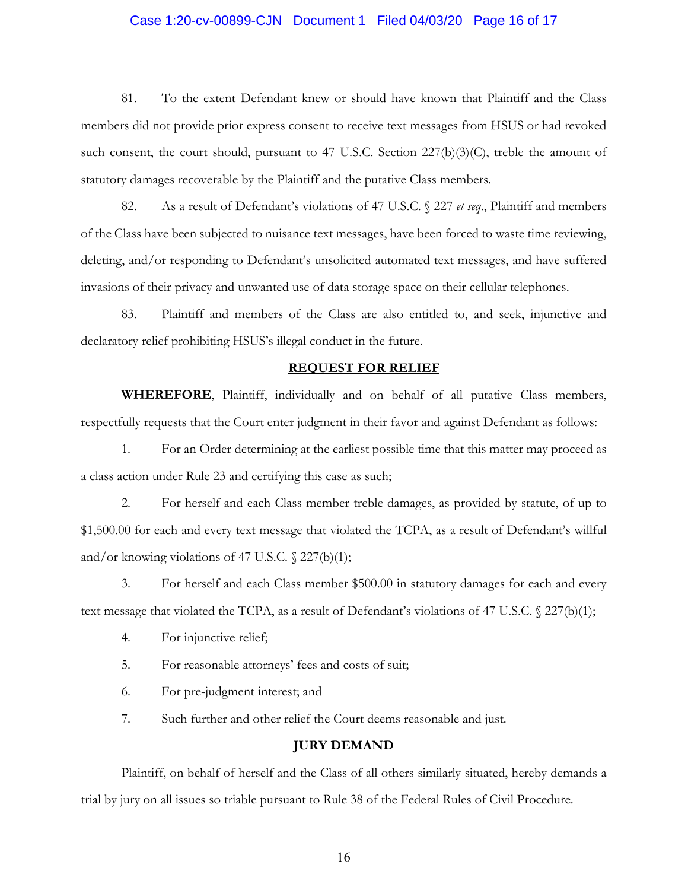## Case 1:20-cv-00899-CJN Document 1 Filed 04/03/20 Page 16 of 17

81. To the extent Defendant knew or should have known that Plaintiff and the Class members did not provide prior express consent to receive text messages from HSUS or had revoked such consent, the court should, pursuant to 47 U.S.C. Section  $227(b)(3)(C)$ , treble the amount of statutory damages recoverable by the Plaintiff and the putative Class members.

82. As a result of Defendant's violations of 47 U.S.C. § 227 *et seq*., Plaintiff and members of the Class have been subjected to nuisance text messages, have been forced to waste time reviewing, deleting, and/or responding to Defendant's unsolicited automated text messages, and have suffered invasions of their privacy and unwanted use of data storage space on their cellular telephones.

83. Plaintiff and members of the Class are also entitled to, and seek, injunctive and declaratory relief prohibiting HSUS's illegal conduct in the future.

#### **REQUEST FOR RELIEF**

**WHEREFORE**, Plaintiff, individually and on behalf of all putative Class members, respectfully requests that the Court enter judgment in their favor and against Defendant as follows:

1. For an Order determining at the earliest possible time that this matter may proceed as a class action under Rule 23 and certifying this case as such;

2. For herself and each Class member treble damages, as provided by statute, of up to \$1,500.00 for each and every text message that violated the TCPA, as a result of Defendant's willful and/or knowing violations of 47 U.S.C.  $\sqrt{227(b)(1)}$ ;

3. For herself and each Class member \$500.00 in statutory damages for each and every text message that violated the TCPA, as a result of Defendant's violations of 47 U.S.C. § 227(b)(1);

- 4. For injunctive relief;
- 5. For reasonable attorneys' fees and costs of suit;
- 6. For pre-judgment interest; and

7. Such further and other relief the Court deems reasonable and just.

#### **JURY DEMAND**

Plaintiff, on behalf of herself and the Class of all others similarly situated, hereby demands a trial by jury on all issues so triable pursuant to Rule 38 of the Federal Rules of Civil Procedure.